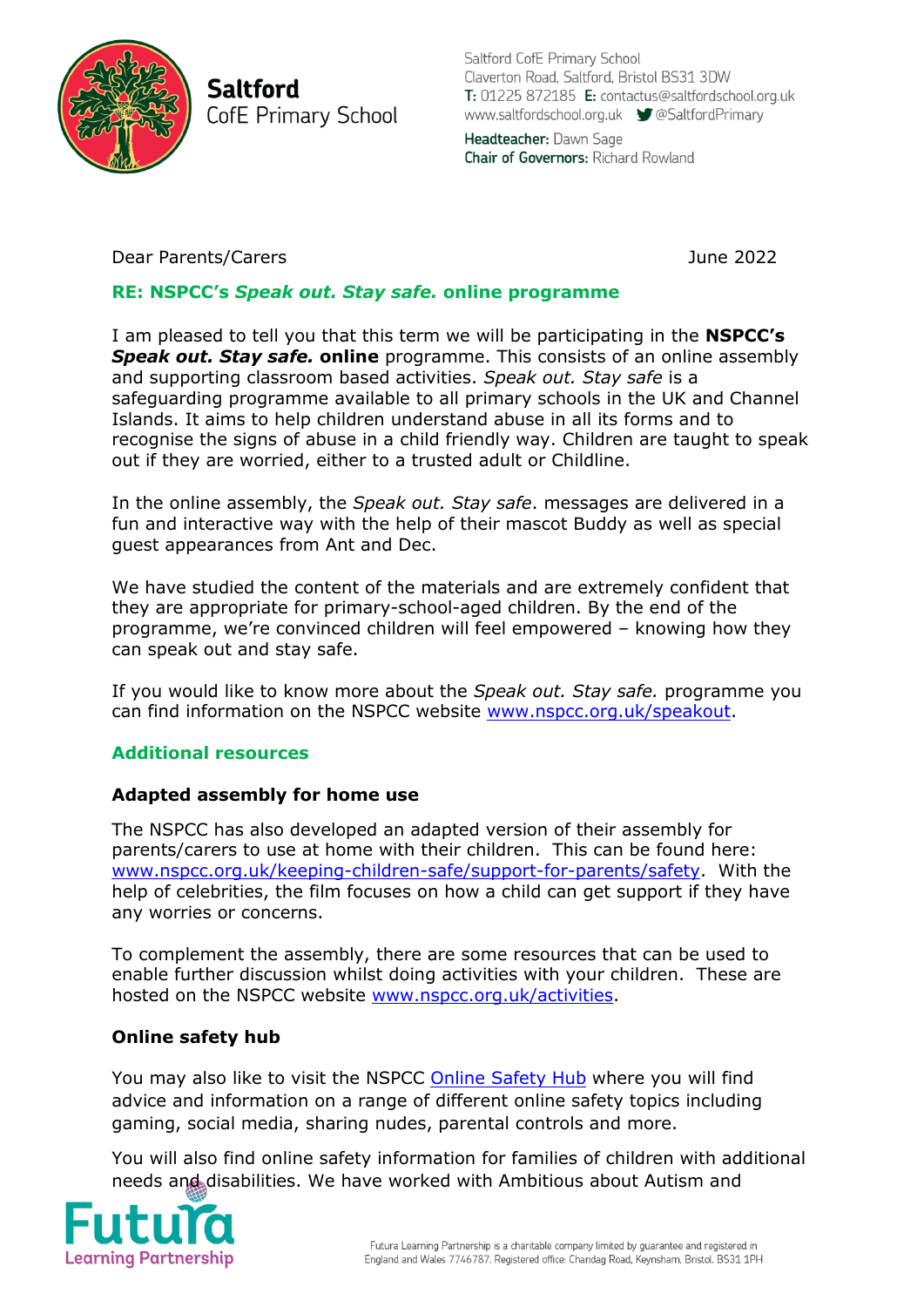

**Saltford** CofE Primary School Saltford CofE Primary School Claverton Road, Saltford, Bristol BS31 3DW T: 01225 872185 E: contactus@saltfordschool.org.uk www.saltfordschool.org.uk CoSaltfordPrimary Headteacher: Dawn Sage **Chair of Governors: Richard Rowland** 

## Dear Parents/Carers June 2022

# **RE: NSPCC's** *Speak out. Stay safe.* **online programme**

I am pleased to tell you that this term we will be participating in the **NSPCC's**  *Speak out. Stay safe.* **online** programme. This consists of an online assembly and supporting classroom based activities. *Speak out. Stay safe* is a safeguarding programme available to all primary schools in the UK and Channel Islands. It aims to help children understand abuse in all its forms and to recognise the signs of abuse in a child friendly way. Children are taught to speak out if they are worried, either to a trusted adult or Childline.

In the online assembly, the *Speak out. Stay safe*. messages are delivered in a fun and interactive way with the help of their mascot Buddy as well as special guest appearances from Ant and Dec.

We have studied the content of the materials and are extremely confident that they are appropriate for primary-school-aged children. By the end of the programme, we're convinced children will feel empowered – knowing how they can speak out and stay safe.

If you would like to know more about the *Speak out. Stay safe.* programme you can find information on the NSPCC website [www.nspcc.org.uk/speakout.](http://www.nspcc.org.uk/speakout)

## **Additional resources**

## **Adapted assembly for home use**

The NSPCC has also developed an adapted version of their assembly for parents/carers to use at home with their children.This can be found here: [www.nspcc.org.uk/keeping-children-safe/support-for-parents/safety.](http://www.nspcc.org.uk/keeping-children-safe/support-for-parents/safety) With the help of celebrities, the film focuses on how a child can get support if they have any worries or concerns.

To complement the assembly, there are some resources that can be used to enable further discussion whilst doing activities with your children. These are hosted on the NSPCC website [www.nspcc.org.uk/activities.](http://www.nspcc.org.uk/activities)

## **Online safety hub**

You may also like to visit the NSPCC [Online Safety Hub](https://www.nspcc.org.uk/keeping-children-safe/online-safety) where you will find advice and information on a range of different online safety topics including gaming, social media, sharing nudes, parental controls and more.

You will also find online safety information for families of children with additional needs and disabilities. We have worked with Ambitious about Autism and